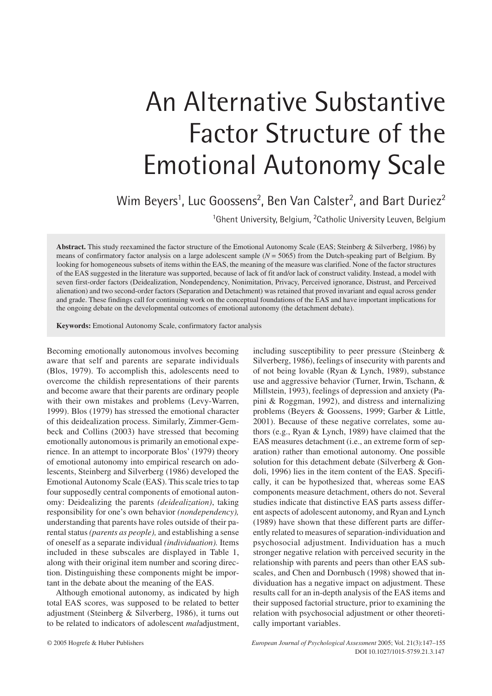# An Alternative Substantive Factor Structure of the Emotional Autonomy Scale

Wim Beyers<sup>1</sup>, Luc Goossens<sup>2</sup>, Ben Van Calster<sup>2</sup>, and Bart Duriez $^2$ 

<sup>1</sup>Ghent University, Belgium, <sup>2</sup>Catholic University Leuven, Belgium

Abstract. This study reexamined the factor structure of the Emotional Autonomy Scale (EAS; Steinberg & Silverberg, 1986) by means of confirmatory factor analysis on a large adolescent sample ( $N = 5065$ ) from the Dutch-speaking part of Belgium. By looking for homogeneous subsets of items within the EAS, the meaning of the measure was clarified. None of the factor structures of the EAS suggested in the literature was supported, because of lack of fit and/or lack of construct validity. Instead, a model with seven first-order factors (Deidealization, Nondependency, Nonimitation, Privacy, Perceived ignorance, Distrust, and Perceived alienation) and two second-order factors (Separation and Detachment) was retained that proved invariant and equal across gender and grade. These findings call for continuing work on the conceptual foundations of the EAS and have important implications for the ongoing debate on the developmental outcomes of emotional autonomy (the detachment debate).

**Keywords:** Emotional Autonomy Scale, confirmatory factor analysis

Becoming emotionally autonomous involves becoming aware that self and parents are separate individuals (Blos, 1979). To accomplish this, adolescents need to overcome the childish representations of their parents and become aware that their parents are ordinary people with their own mistakes and problems (Levy-Warren, 1999). Blos (1979) has stressed the emotional character of this deidealization process. Similarly, Zimmer-Gembeck and Collins (2003) have stressed that becoming emotionally autonomous is primarily an emotional experience. In an attempt to incorporate Blos' (1979) theory of emotional autonomy into empirical research on adolescents, Steinberg and Silverberg (1986) developed the Emotional Autonomy Scale (EAS). This scale tries to tap four supposedly central components of emotional autonomy: Deidealizing the parents *(deidealization)*, taking responsibility for one's own behavior *(nondependency),* understanding that parents have roles outside of their parental status*(parents as people),* and establishing a sense of oneself as a separate individual *(individuation).* Items included in these subscales are displayed in Table 1, along with their original item number and scoring direction. Distinguishing these components might be important in the debate about the meaning of the EAS.

Although emotional autonomy, as indicated by high total EAS scores, was supposed to be related to better adjustment (Steinberg & Silverberg, 1986), it turns out to be related to indicators of adolescent *mal*adjustment, including susceptibility to peer pressure (Steinberg & Silverberg, 1986), feelings of insecurity with parents and of not being lovable (Ryan & Lynch, 1989), substance use and aggressive behavior (Turner, Irwin, Tschann, & Millstein, 1993), feelings of depression and anxiety (Papini & Roggman, 1992), and distress and internalizing problems (Beyers & Goossens, 1999; Garber & Little, 2001). Because of these negative correlates, some authors (e.g., Ryan & Lynch, 1989) have claimed that the EAS measures detachment (i.e., an extreme form of separation) rather than emotional autonomy. One possible solution for this detachment debate (Silverberg & Gondoli, 1996) lies in the item content of the EAS. Specifically, it can be hypothesized that, whereas some EAS components measure detachment, others do not. Several studies indicate that distinctive EAS parts assess different aspects of adolescent autonomy, and Ryan and Lynch (1989) have shown that these different parts are differently related to measures of separation-individuation and psychosocial adjustment. Individuation has a much stronger negative relation with perceived security in the relationship with parents and peers than other EAS subscales, and Chen and Dornbusch (1998) showed that individuation has a negative impact on adjustment. These results call for an in-depth analysis of the EAS items and their supposed factorial structure, prior to examining the relation with psychosocial adjustment or other theoretically important variables.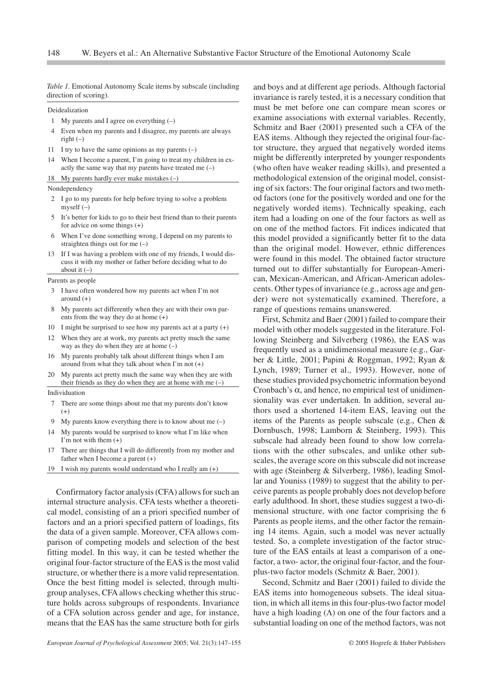*Table 1*. Emotional Autonomy Scale items by subscale (including direction of scoring).

Deidealization

- 1 My parents and I agree on everything (–)
- 4 Even when my parents and I disagree, my parents are always right  $(-)$
- 11 I try to have the same opinions as my parents (–)
- 14 When I become a parent, I'm going to treat my children in exactly the same way that my parents have treated me (–)
- 18 My parents hardly ever make mistakes (–)

Nondependency

- 2 I go to my parents for help before trying to solve a problem  $m$ yself  $(-)$
- 5 It's better for kids to go to their best friend than to their parents for advice on some things (+)
- 6 When I've done something wrong, I depend on my parents to straighten things out for me  $(-)$
- 13 If I was having a problem with one of my friends, I would discuss it with my mother or father before deciding what to do about it  $(-)$

Parents as people

- 3 I have often wondered how my parents act when I'm not around  $(+)$
- 8 My parents act differently when they are with their own parents from the way they do at home (+)
- 10 I might be surprised to see how my parents act at a party (+)
- 12 When they are at work, my parents act pretty much the same way as they do when they are at home  $(-)$
- 16 My parents probably talk about different things when I am around from what they talk about when I'm not (+)
- 20 My parents act pretty much the same way when they are with their friends as they do when they are at home with me  $(-)$

Individuation

- 7 There are some things about me that my parents don't know  $(+)$
- 9 My parents know everything there is to know about me (–)
- 14 My parents would be surprised to know what I'm like when I'm not with them  $(+)$
- 17 There are things that I will do differently from my mother and father when I become a parent (+)
- 19 I wish my parents would understand who I really am (+)

Confirmatory factor analysis (CFA) allows for such an internal structure analysis. CFA tests whether a theoretical model, consisting of an a priori specified number of factors and an a priori specified pattern of loadings, fits the data of a given sample. Moreover, CFA allows comparison of competing models and selection of the best fitting model. In this way, it can be tested whether the original four-factor structure of the EAS is the most valid structure, or whether there is a more valid representation. Once the best fitting model is selected, through multigroup analyses, CFA allows checking whether this structure holds across subgroups of respondents. Invariance of a CFA solution across gender and age, for instance, means that the EAS has the same structure both for girls

and boys and at different age periods. Although factorial invariance is rarely tested, it is a necessary condition that must be met before one can compare mean scores or examine associations with external variables. Recently, Schmitz and Baer (2001) presented such a CFA of the EAS items. Although they rejected the original four-factor structure, they argued that negatively worded items might be differently interpreted by younger respondents (who often have weaker reading skills), and presented a methodological extension of the original model, consisting of six factors: The four original factors and two method factors (one for the positively worded and one for the negatively worded items). Technically speaking, each item had a loading on one of the four factors as well as on one of the method factors. Fit indices indicated that this model provided a significantly better fit to the data than the original model. However, ethnic differences were found in this model. The obtained factor structure turned out to differ substantially for European-American, Mexican-American, and African-American adolescents. Other types of invariance (e.g., across age and gender) were not systematically examined. Therefore, a range of questions remains unanswered.

First, Schmitz and Baer (2001) failed to compare their model with other models suggested in the literature. Following Steinberg and Silverberg (1986), the EAS was frequently used as a unidimensional measure (e.g., Garber & Little, 2001; Papini & Roggman, 1992; Ryan & Lynch, 1989; Turner et al., 1993). However, none of these studies provided psychometric information beyond Cronbach's  $\alpha$ , and hence, no empirical test of unidimensionality was ever undertaken. In addition, several authors used a shortened 14-item EAS, leaving out the items of the Parents as people subscale (e.g., Chen & Dornbusch, 1998; Lamborn & Steinberg, 1993). This subscale had already been found to show low correlations with the other subscales, and unlike other subscales, the average score on this subscale did not increase with age (Steinberg & Silverberg, 1986), leading Smollar and Youniss (1989) to suggest that the ability to perceive parents as people probably does not develop before early adulthood. In short, these studies suggest a two-dimensional structure, with one factor comprising the 6 Parents as people items, and the other factor the remaining 14 items. Again, such a model was never actually tested. So, a complete investigation of the factor structure of the EAS entails at least a comparison of a onefactor, a two- actor, the original four-factor, and the fourplus-two factor models (Schmitz & Baer, 2001).

Second, Schmitz and Baer (2001) failed to divide the EAS items into homogeneous subsets. The ideal situation, in which all items in this four-plus-two factor model have a high loading  $(Λ)$  on one of the four factors and a substantial loading on one of the method factors, was not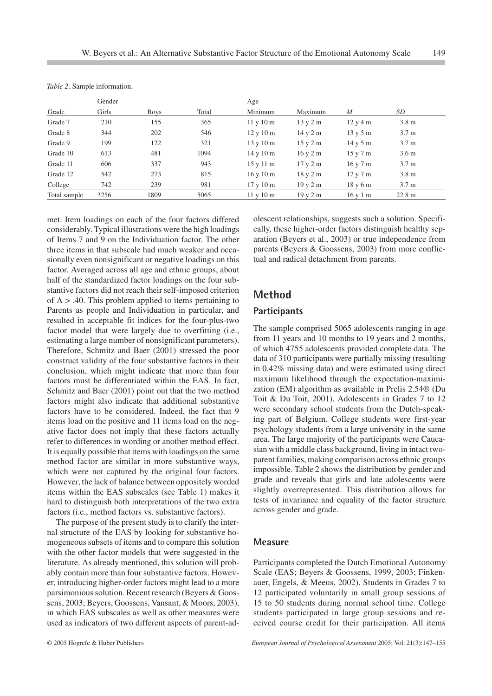| <i>rable 2.</i> Sample imormation. |        |             |       |                              |                             |                             |                   |  |  |  |  |
|------------------------------------|--------|-------------|-------|------------------------------|-----------------------------|-----------------------------|-------------------|--|--|--|--|
|                                    | Gender |             |       | Age                          |                             |                             |                   |  |  |  |  |
| Grade                              | Girls  | <b>Boys</b> | Total | Minimum                      | Maximum                     | M                           | SD                |  |  |  |  |
| Grade 7                            | 210    | 155         | 365   | 11 y 10 m                    | $13 \text{ y } 2 \text{ m}$ | 12y4m                       | 3.8 <sub>m</sub>  |  |  |  |  |
| Grade 8                            | 344    | 202         | 546   | 12 y 10 m                    | 14 y 2 m                    | $13 \text{ y } 5 \text{ m}$ | 3.7 <sub>m</sub>  |  |  |  |  |
| Grade 9                            | 199    | 122         | 321   | $13 \times 10 \text{ m}$     | $15 \text{ y } 2 \text{ m}$ | 14y5m                       | 3.7 <sub>m</sub>  |  |  |  |  |
| Grade 10                           | 613    | 481         | 1094  | 14y10m                       | 16y2m                       | $15 \text{ y } 7 \text{ m}$ | 3.6 <sub>m</sub>  |  |  |  |  |
| Grade 11                           | 606    | 337         | 943   | $15 \text{ y } 11 \text{ m}$ | 17y2m                       | 16y7m                       | 3.7 <sub>m</sub>  |  |  |  |  |
| Grade 12                           | 542    | 273         | 815   | 16y10m                       | 18y2m                       | 17y7m                       | 3.8 <sub>m</sub>  |  |  |  |  |
| College                            | 742    | 239         | 981   | $17 \times 10 \text{ m}$     | 19y2m                       | 18y6m                       | 3.7 <sub>m</sub>  |  |  |  |  |
| Total sample                       | 3256   | 1809        | 5065  | $11 \times 10 \text{ m}$     | 19y2m                       | 16y1m                       | 22.8 <sub>m</sub> |  |  |  |  |

*Table 2*. Sample information.

met. Item loadings on each of the four factors differed considerably. Typical illustrations were the high loadings of Items 7 and 9 on the Individuation factor. The other three items in that subscale had much weaker and occasionally even nonsignificant or negative loadings on this factor. Averaged across all age and ethnic groups, about half of the standardized factor loadings on the four substantive factors did not reach their self-imposed criterion of  $\Lambda$  > .40. This problem applied to items pertaining to Parents as people and Individuation in particular, and resulted in acceptable fit indices for the four-plus-two factor model that were largely due to overfitting (i.e., estimating a large number of nonsignificant parameters). Therefore, Schmitz and Baer (2001) stressed the poor construct validity of the four substantive factors in their conclusion, which might indicate that more than four factors must be differentiated within the EAS. In fact, Schmitz and Baer (2001) point out that the two method factors might also indicate that additional substantive factors have to be considered. Indeed, the fact that 9 items load on the positive and 11 items load on the negative factor does not imply that these factors actually refer to differences in wording or another method effect. It is equally possible that items with loadings on the same method factor are similar in more substantive ways, which were not captured by the original four factors. However, the lack of balance between oppositely worded items within the EAS subscales (see Table 1) makes it hard to distinguish both interpretations of the two extra factors (i.e., method factors vs. substantive factors).

The purpose of the present study is to clarify the internal structure of the EAS by looking for substantive homogeneous subsets of items and to compare this solution with the other factor models that were suggested in the literature. As already mentioned, this solution will probably contain more than four substantive factors. However, introducing higher-order factors might lead to a more parsimonious solution. Recent research (Beyers & Goossens, 2003; Beyers, Goossens, Vansant, & Moors, 2003), in which EAS subscales as well as other measures were used as indicators of two different aspects of parent-adolescent relationships, suggests such a solution. Specifically, these higher-order factors distinguish healthy separation (Beyers et al., 2003) or true independence from parents (Beyers & Goossens, 2003) from more conflictual and radical detachment from parents.

## **Method**

#### **Participants**

The sample comprised 5065 adolescents ranging in age from 11 years and 10 months to 19 years and 2 months, of which 4755 adolescents provided complete data. The data of 310 participants were partially missing (resulting in 0.42% missing data) and were estimated using direct maximum likelihood through the expectation-maximization (EM) algorithm as available in Prelis 2.54® (Du Toit & Du Toit, 2001). Adolescents in Grades 7 to 12 were secondary school students from the Dutch-speaking part of Belgium. College students were first-year psychology students from a large university in the same area. The large majority of the participants were Caucasian with a middle class background, living in intact twoparent families, making comparison across ethnic groups impossible. Table 2 shows the distribution by gender and grade and reveals that girls and late adolescents were slightly overrepresented. This distribution allows for tests of invariance and equality of the factor structure across gender and grade.

#### **Measure**

Participants completed the Dutch Emotional Autonomy Scale (EAS; Beyers & Goossens, 1999, 2003; Finkenauer, Engels, & Meeus, 2002). Students in Grades 7 to 12 participated voluntarily in small group sessions of 15 to 50 students during normal school time. College students participated in large group sessions and received course credit for their participation. All items

© 2005 Hogrefe & Huber Publishers *European Journal of Psychological Assessment* 2005; Vol. 21(3):147–155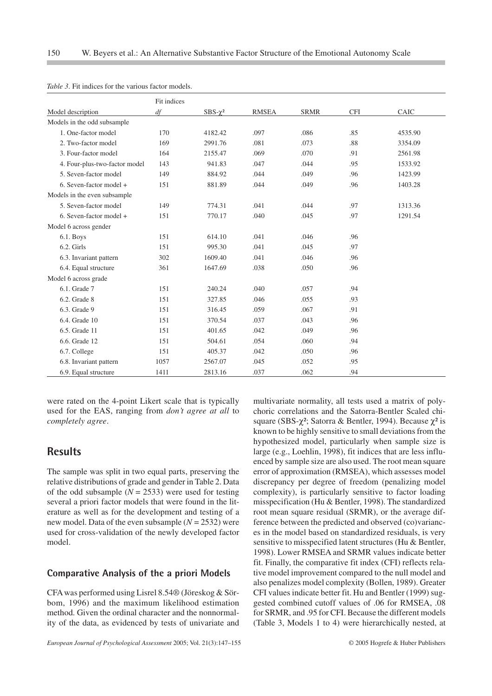|                               | Fit indices |              |              |             |            |         |  |
|-------------------------------|-------------|--------------|--------------|-------------|------------|---------|--|
| Model description             | df          | $SBS-\chi^2$ | <b>RMSEA</b> | <b>SRMR</b> | <b>CFI</b> | CAIC    |  |
| Models in the odd subsample   |             |              |              |             |            |         |  |
| 1. One-factor model           | 170         | 4182.42      | .097         | .086        | .85        | 4535.90 |  |
| 2. Two-factor model           | 169         | 2991.76      | .081         | .073        | .88        | 3354.09 |  |
| 3. Four-factor model          | 164         | 2155.47      | .069         | .070        | .91        | 2561.98 |  |
| 4. Four-plus-two-factor model | 143         | 941.83       | .047         | .044        | .95        | 1533.92 |  |
| 5. Seven-factor model         | 149         | 884.92       | .044         | .049        | .96        | 1423.99 |  |
| 6. Seven-factor model +       | 151         | 881.89       | .044         | .049        | .96        | 1403.28 |  |
| Models in the even subsample  |             |              |              |             |            |         |  |
| 5. Seven-factor model         | 149         | 774.31       | .041         | .044        | .97        | 1313.36 |  |
| 6. Seven-factor model $+$     | 151         | 770.17       | .040         | .045        | .97        | 1291.54 |  |
| Model 6 across gender         |             |              |              |             |            |         |  |
| $6.1.$ Boys                   | 151         | 614.10       | .041         | .046        | .96        |         |  |
| $6.2.$ Girls                  | 151         | 995.30       | .041         | .045        | .97        |         |  |
| 6.3. Invariant pattern        | 302         | 1609.40      | .041         | .046        | .96        |         |  |
| 6.4. Equal structure          | 361         | 1647.69      | .038         | .050        | .96        |         |  |
| Model 6 across grade          |             |              |              |             |            |         |  |
| 6.1. Grade 7                  | 151         | 240.24       | .040         | .057        | .94        |         |  |
| $6.2.$ Grade $8$              | 151         | 327.85       | .046         | .055        | .93        |         |  |
| 6.3. Grade 9                  | 151         | 316.45       | .059         | .067        | .91        |         |  |
| 6.4. Grade 10                 | 151         | 370.54       | .037         | .043        | .96        |         |  |
| 6.5. Grade 11                 | 151         | 401.65       | .042         | .049        | .96        |         |  |
| 6.6. Grade 12                 | 151         | 504.61       | .054         | .060        | .94        |         |  |
| 6.7. College                  | 151         | 405.37       | .042         | .050        | .96        |         |  |
| 6.8. Invariant pattern        | 1057        | 2567.07      | .045         | .052        | .95        |         |  |
| 6.9. Equal structure          | 1411        | 2813.16      | .037         | .062        | .94        |         |  |

*Table 3*. Fit indices for the various factor models.

were rated on the 4-point Likert scale that is typically used for the EAS, ranging from *don't agree at all* to *completely agree*.

# **Results**

The sample was split in two equal parts, preserving the relative distributions of grade and gender in Table 2. Data of the odd subsample  $(N = 2533)$  were used for testing several a priori factor models that were found in the literature as well as for the development and testing of a new model. Data of the even subsample  $(N = 2532)$  were used for cross-validation of the newly developed factor model.

## **Comparative Analysis of the a priori Models**

CFAwas performed using Lisrel 8.54® (Jöreskog & Sörbom, 1996) and the maximum likelihood estimation method. Given the ordinal character and the nonnormality of the data, as evidenced by tests of univariate and

*European Journal of Psychological Assessment* 2005; Vol. 21(3):147–155 © 2005 Hogrefe & Huber Publishers

choric correlations and the Satorra-Bentler Scaled chisquare (SBS- $\chi^2$ ; Satorra & Bentler, 1994). Because  $\chi^2$  is known to be highly sensitive to small deviations from the hypothesized model, particularly when sample size is large (e.g., Loehlin, 1998), fit indices that are less influenced by sample size are also used. The root mean square error of approximation (RMSEA), which assesses model discrepancy per degree of freedom (penalizing model complexity), is particularly sensitive to factor loading misspecification (Hu & Bentler, 1998). The standardized root mean square residual (SRMR), or the average difference between the predicted and observed (co)variances in the model based on standardized residuals, is very sensitive to misspecified latent structures (Hu & Bentler, 1998). Lower RMSEA and SRMR values indicate better fit. Finally, the comparative fit index (CFI) reflects relative model improvement compared to the null model and also penalizes model complexity (Bollen, 1989). Greater CFI values indicate better fit. Hu and Bentler (1999) suggested combined cutoff values of .06 for RMSEA, .08 for SRMR, and .95 for CFI. Because the different models (Table 3, Models 1 to 4) were hierarchically nested, at

multivariate normality, all tests used a matrix of poly-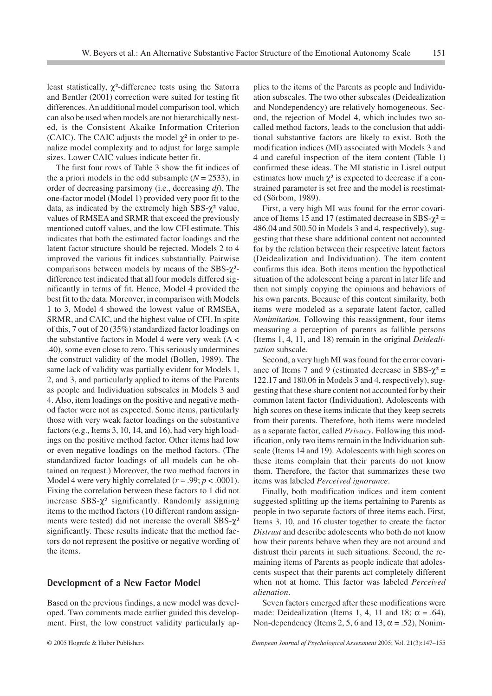least statistically,  $\chi^2$ -difference tests using the Satorra and Bentler (2001) correction were suited for testing fit differences. An additional model comparison tool, which can also be used when models are not hierarchically nested, is the Consistent Akaike Information Criterion (CAIC). The CAIC adjusts the model  $\chi^2$  in order to penalize model complexity and to adjust for large sample sizes. Lower CAIC values indicate better fit.

The first four rows of Table 3 show the fit indices of the a priori models in the odd subsample  $(N = 2533)$ , in order of decreasing parsimony (i.e., decreasing *df*). The one-factor model (Model 1) provided very poor fit to the data, as indicated by the extremely high SBS- $\chi^2$  value, values of RMSEA and SRMR that exceed the previously mentioned cutoff values, and the low CFI estimate. This indicates that both the estimated factor loadings and the latent factor structure should be rejected. Models 2 to 4 improved the various fit indices substantially. Pairwise comparisons between models by means of the SBS-χ² difference test indicated that all four models differed significantly in terms of fit. Hence, Model 4 provided the best fit to the data. Moreover, in comparison with Models 1 to 3, Model 4 showed the lowest value of RMSEA, SRMR, and CAIC, and the highest value of CFI. In spite of this, 7 out of 20 (35%) standardized factor loadings on the substantive factors in Model 4 were very weak ( $\Lambda$  < .40), some even close to zero. This seriously undermines the construct validity of the model (Bollen, 1989). The same lack of validity was partially evident for Models 1, 2, and 3, and particularly applied to items of the Parents as people and Individuation subscales in Models 3 and 4. Also, item loadings on the positive and negative method factor were not as expected. Some items, particularly those with very weak factor loadings on the substantive factors (e.g., Items 3, 10, 14, and 16), had very high loadings on the positive method factor. Other items had low or even negative loadings on the method factors. (The standardized factor loadings of all models can be obtained on request.) Moreover, the two method factors in Model 4 were very highly correlated  $(r = .99; p < .0001)$ . Fixing the correlation between these factors to 1 did not increase  $SBS-\chi^2$  significantly. Randomly assigning items to the method factors (10 different random assignments were tested) did not increase the overall  $SBS-\gamma^2$ significantly. These results indicate that the method factors do not represent the positive or negative wording of the items.

#### **Development of a New Factor Model**

Based on the previous findings, a new model was developed. Two comments made earlier guided this development. First, the low construct validity particularly applies to the items of the Parents as people and Individuation subscales. The two other subscales (Deidealization and Nondependency) are relatively homogeneous. Second, the rejection of Model 4, which includes two socalled method factors, leads to the conclusion that additional substantive factors are likely to exist. Both the modification indices (MI) associated with Models 3 and 4 and careful inspection of the item content (Table 1) confirmed these ideas. The MI statistic in Lisrel output estimates how much  $\chi^2$  is expected to decrease if a constrained parameter is set free and the model is reestimated (Sörbom, 1989).

First, a very high MI was found for the error covariance of Items 15 and 17 (estimated decrease in SBS- $\chi^2$  = 486.04 and 500.50 in Models 3 and 4, respectively), suggesting that these share additional content not accounted for by the relation between their respective latent factors (Deidealization and Individuation). The item content confirms this idea. Both items mention the hypothetical situation of the adolescent being a parent in later life and then not simply copying the opinions and behaviors of his own parents. Because of this content similarity, both items were modeled as a separate latent factor, called *Nonimitation*. Following this reassignment, four items measuring a perception of parents as fallible persons (Items 1, 4, 11, and 18) remain in the original *Deidealization* subscale.

Second, a very high MI was found for the error covariance of Items 7 and 9 (estimated decrease in SBS- $\chi^2$  = 122.17 and 180.06 in Models 3 and 4, respectively), suggesting that these share content not accounted for by their common latent factor (Individuation). Adolescents with high scores on these items indicate that they keep secrets from their parents. Therefore, both items were modeled as a separate factor, called *Privacy*. Following this modification, only two items remain in the Individuation subscale (Items 14 and 19). Adolescents with high scores on these items complain that their parents do not know them. Therefore, the factor that summarizes these two items was labeled *Perceived ignorance*.

Finally, both modification indices and item content suggested splitting up the items pertaining to Parents as people in two separate factors of three items each. First, Items 3, 10, and 16 cluster together to create the factor *Distrust* and describe adolescents who both do not know how their parents behave when they are not around and distrust their parents in such situations. Second, the remaining items of Parents as people indicate that adolescents suspect that their parents act completely different when not at home. This factor was labeled *Perceived alienation*.

Seven factors emerged after these modifications were made: Deidealization (Items 1, 4, 11 and 18;  $\alpha = .64$ ), Non-dependency (Items 2, 5, 6 and 13;  $\alpha$  = .52), Nonim-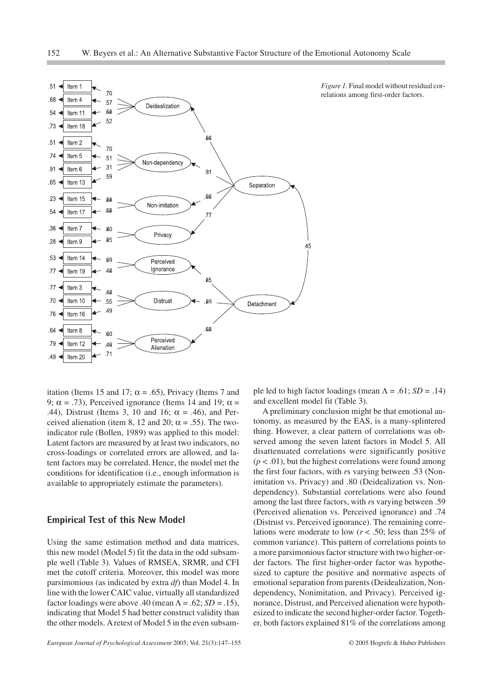

*Figure 1.* Final model without residual correlations among first-order factors.

itation (Items 15 and 17;  $\alpha = .65$ ), Privacy (Items 7 and 9;  $\alpha$  = .73), Perceived ignorance (Items 14 and 19;  $\alpha$  = .44), Distrust (Items 3, 10 and 16;  $\alpha = .46$ ), and Perceived alienation (item 8, 12 and 20;  $\alpha = .55$ ). The twoindicator rule (Bollen, 1989) was applied to this model: Latent factors are measured by at least two indicators, no cross-loadings or correlated errors are allowed, and latent factors may be correlated. Hence, the model met the conditions for identification (i.e., enough information is available to appropriately estimate the parameters).

#### **Empirical Test of this New Model**

Using the same estimation method and data matrices, this new model (Model 5) fit the data in the odd subsample well (Table 3). Values of RMSEA, SRMR, and CFI met the cutoff criteria. Moreover, this model was more parsimonious (as indicated by extra *df*) than Model 4. In line with the lower CAIC value, virtually all standardized factor loadings were above .40 (mean  $\Lambda = .62$ ; *SD* = .15), indicating that Model 5 had better construct validity than the other models. A retest of Model 5 in the even subsample led to high factor loadings (mean  $\Lambda = .61$ ; *SD* = .14) and excellent model fit (Table 3).

A preliminary conclusion might be that emotional autonomy, as measured by the EAS, is a many-splintered thing. However, a clear pattern of correlations was observed among the seven latent factors in Model 5. All disattenuated correlations were significantly positive  $(p < .01)$ , but the highest correlations were found among the first four factors, with *r*s varying between .53 (Nonimitation vs. Privacy) and .80 (Deidealization vs. Nondependency). Substantial correlations were also found among the last three factors, with *r*s varying between .59 (Perceived alienation vs. Perceived ignorance) and .74 (Distrust vs. Perceived ignorance). The remaining correlations were moderate to low  $(r < .50)$ ; less than 25% of common variance). This pattern of correlations points to a more parsimonious factor structure with two higher-order factors. The first higher-order factor was hypothesized to capture the positive and normative aspects of emotional separation from parents (Deidealization, Nondependency, Nonimitation, and Privacy). Perceived ignorance, Distrust, and Perceived alienation were hypothesized to indicate the second higher-order factor. Together, both factors explained 81% of the correlations among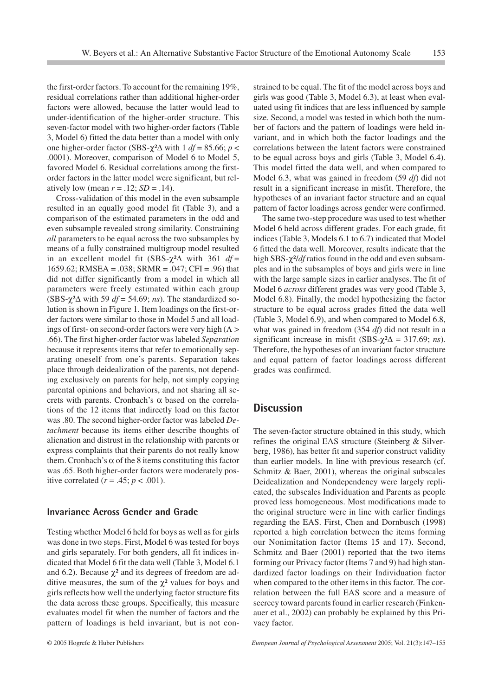the first-order factors. To account for the remaining 19%, residual correlations rather than additional higher-order factors were allowed, because the latter would lead to under-identification of the higher-order structure. This seven-factor model with two higher-order factors (Table 3, Model 6) fitted the data better than a model with only one higher-order factor (SBS-χ²∆ with 1 *df* = 85.66; *p* < .0001). Moreover, comparison of Model 6 to Model 5, favored Model 6. Residual correlations among the firstorder factors in the latter model were significant, but relatively low (mean  $r = .12$ ;  $SD = .14$ ).

Cross-validation of this model in the even subsample resulted in an equally good model fit (Table 3), and a comparison of the estimated parameters in the odd and even subsample revealed strong similarity. Constraining *all* parameters to be equal across the two subsamples by means of a fully constrained multigroup model resulted in an excellent model fit (SBS-χ²∆ with 361 *df* = 1659.62; RMSEA = .038; SRMR = .047; CFI = .96) that did not differ significantly from a model in which all parameters were freely estimated within each group (SBS-χ²∆ with 59 *df* = 54.69; *ns*). The standardized solution is shown in Figure 1. Item loadings on the first-order factors were similar to those in Model 5 and all loadings of first- on second-order factors were very high  $(Λ >$ .66). The first higher-order factor was labeled *Separation* because it represents items that refer to emotionally separating oneself from one's parents. Separation takes place through deidealization of the parents, not depending exclusively on parents for help, not simply copying parental opinions and behaviors, and not sharing all secrets with parents. Cronbach's  $\alpha$  based on the correlations of the 12 items that indirectly load on this factor was .80. The second higher-order factor was labeled *Detachment* because its items either describe thoughts of alienation and distrust in the relationship with parents or express complaints that their parents do not really know them. Cronbach's  $\alpha$  of the 8 items constituting this factor was .65. Both higher-order factors were moderately positive correlated  $(r = .45; p < .001)$ .

#### **Invariance Across Gender and Grade**

Testing whether Model 6 held for boys as well as for girls was done in two steps. First, Model 6 was tested for boys and girls separately. For both genders, all fit indices indicated that Model 6 fit the data well (Table 3, Model 6.1 and 6.2). Because  $\chi^2$  and its degrees of freedom are additive measures, the sum of the  $\chi^2$  values for boys and girls reflects how well the underlying factor structure fits the data across these groups. Specifically, this measure evaluates model fit when the number of factors and the pattern of loadings is held invariant, but is not constrained to be equal. The fit of the model across boys and girls was good (Table 3, Model 6.3), at least when evaluated using fit indices that are less influenced by sample size. Second, a model was tested in which both the number of factors and the pattern of loadings were held invariant, and in which both the factor loadings and the correlations between the latent factors were constrained to be equal across boys and girls (Table 3, Model 6.4). This model fitted the data well, and when compared to Model 6.3, what was gained in freedom (59 *df*) did not result in a significant increase in misfit. Therefore, the hypotheses of an invariant factor structure and an equal pattern of factor loadings across gender were confirmed.

The same two-step procedure was used to test whether Model 6 held across different grades. For each grade, fit indices (Table 3, Models 6.1 to 6.7) indicated that Model 6 fitted the data well. Moreover, results indicate that the high SBS-χ²/*df* ratios found in the odd and even subsamples and in the subsamples of boys and girls were in line with the large sample sizes in earlier analyses. The fit of Model 6 *across* different grades was very good (Table 3, Model 6.8). Finally, the model hypothesizing the factor structure to be equal across grades fitted the data well (Table 3, Model 6.9), and when compared to Model 6.8, what was gained in freedom (354 *df*) did not result in a significant increase in misfit (SBS- $\chi^2 \Delta = 317.69$ ; *ns*). Therefore, the hypotheses of an invariant factor structure and equal pattern of factor loadings across different grades was confirmed.

## **Discussion**

The seven-factor structure obtained in this study, which refines the original EAS structure (Steinberg & Silverberg, 1986), has better fit and superior construct validity than earlier models. In line with previous research (cf. Schmitz & Baer, 2001), whereas the original subscales Deidealization and Nondependency were largely replicated, the subscales Individuation and Parents as people proved less homogeneous. Most modifications made to the original structure were in line with earlier findings regarding the EAS. First, Chen and Dornbusch (1998) reported a high correlation between the items forming our Nonimitation factor (Items 15 and 17). Second, Schmitz and Baer (2001) reported that the two items forming our Privacy factor (Items 7 and 9) had high standardized factor loadings on their Individuation factor when compared to the other items in this factor. The correlation between the full EAS score and a measure of secrecy toward parents found in earlier research (Finkenauer et al., 2002) can probably be explained by this Privacy factor.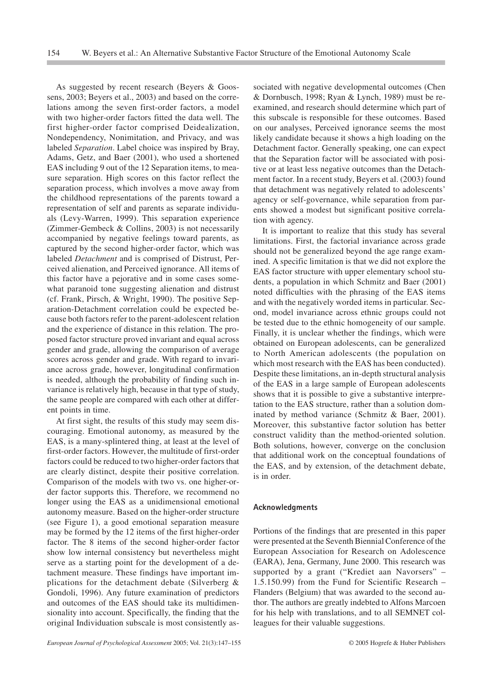As suggested by recent research (Beyers & Goossens, 2003; Beyers et al., 2003) and based on the correlations among the seven first-order factors, a model with two higher-order factors fitted the data well. The first higher-order factor comprised Deidealization, Nondependency, Nonimitation, and Privacy, and was labeled *Separation*. Label choice was inspired by Bray, Adams, Getz, and Baer (2001), who used a shortened EAS including 9 out of the 12 Separation items, to measure separation. High scores on this factor reflect the separation process, which involves a move away from the childhood representations of the parents toward a representation of self and parents as separate individuals (Levy-Warren, 1999). This separation experience (Zimmer-Gembeck & Collins, 2003) is not necessarily accompanied by negative feelings toward parents, as captured by the second higher-order factor, which was labeled *Detachment* and is comprised of Distrust, Perceived alienation, and Perceived ignorance. All items of this factor have a pejorative and in some cases somewhat paranoid tone suggesting alienation and distrust (cf. Frank, Pirsch, & Wright, 1990). The positive Separation-Detachment correlation could be expected because both factors refer to the parent-adolescent relation and the experience of distance in this relation. The proposed factor structure proved invariant and equal across gender and grade, allowing the comparison of average scores across gender and grade. With regard to invariance across grade, however, longitudinal confirmation is needed, although the probability of finding such invariance is relatively high, because in that type of study, the same people are compared with each other at different points in time.

At first sight, the results of this study may seem discouraging. Emotional autonomy, as measured by the EAS, is a many-splintered thing, at least at the level of first-order factors. However, the multitude of first-order factors could be reduced to two higher-order factors that are clearly distinct, despite their positive correlation. Comparison of the models with two vs. one higher-order factor supports this. Therefore, we recommend no longer using the EAS as a unidimensional emotional autonomy measure. Based on the higher-order structure (see Figure 1), a good emotional separation measure may be formed by the 12 items of the first higher-order factor. The 8 items of the second higher-order factor show low internal consistency but nevertheless might serve as a starting point for the development of a detachment measure. These findings have important implications for the detachment debate (Silverberg & Gondoli, 1996). Any future examination of predictors and outcomes of the EAS should take its multidimensionality into account. Specifically, the finding that the original Individuation subscale is most consistently associated with negative developmental outcomes (Chen & Dornbusch, 1998; Ryan & Lynch, 1989) must be reexamined, and research should determine which part of this subscale is responsible for these outcomes. Based on our analyses, Perceived ignorance seems the most likely candidate because it shows a high loading on the Detachment factor. Generally speaking, one can expect that the Separation factor will be associated with positive or at least less negative outcomes than the Detachment factor. In a recent study, Beyers et al. (2003) found that detachment was negatively related to adolescents' agency or self-governance, while separation from parents showed a modest but significant positive correlation with agency.

It is important to realize that this study has several limitations. First, the factorial invariance across grade should not be generalized beyond the age range examined. A specific limitation is that we did not explore the EAS factor structure with upper elementary school students, a population in which Schmitz and Baer (2001) noted difficulties with the phrasing of the EAS items and with the negatively worded items in particular. Second, model invariance across ethnic groups could not be tested due to the ethnic homogeneity of our sample. Finally, it is unclear whether the findings, which were obtained on European adolescents, can be generalized to North American adolescents (the population on which most research with the EAS has been conducted). Despite these limitations, an in-depth structural analysis of the EAS in a large sample of European adolescents shows that it is possible to give a substantive interpretation to the EAS structure, rather than a solution dominated by method variance (Schmitz & Baer, 2001). Moreover, this substantive factor solution has better construct validity than the method-oriented solution. Both solutions, however, converge on the conclusion that additional work on the conceptual foundations of the EAS, and by extension, of the detachment debate, is in order.

#### **Acknowledgments**

Portions of the findings that are presented in this paper were presented at the Seventh Biennial Conference of the European Association for Research on Adolescence (EARA), Jena, Germany, June 2000. This research was supported by a grant ("Krediet aan Navorsers" – 1.5.150.99) from the Fund for Scientific Research – Flanders (Belgium) that was awarded to the second author. The authors are greatly indebted to Alfons Marcoen for his help with translations, and to all SEMNET colleagues for their valuable suggestions.